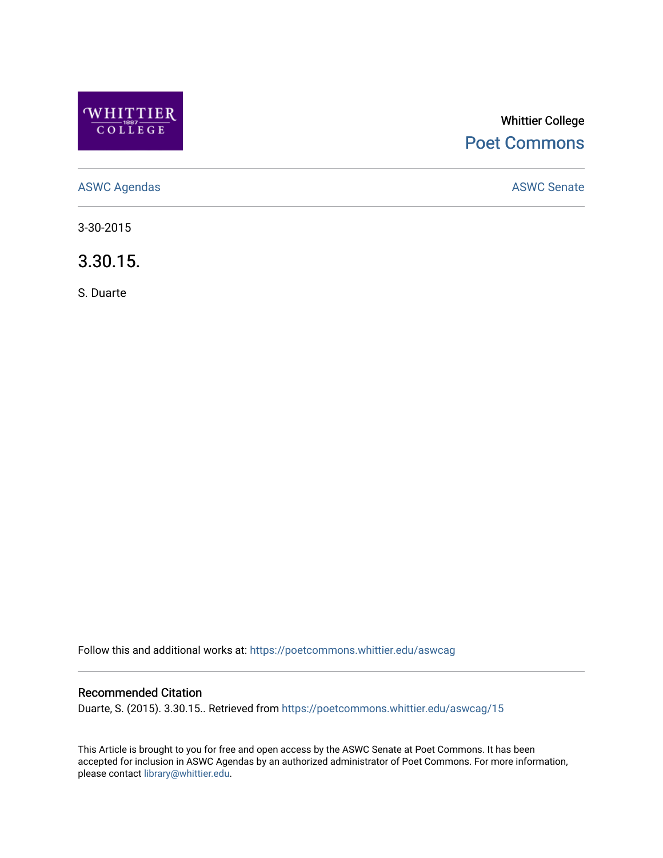

# Whittier College [Poet Commons](https://poetcommons.whittier.edu/)

[ASWC Agendas](https://poetcommons.whittier.edu/aswcag) **ASWC Senate** 

3-30-2015

3.30.15.

S. Duarte

Follow this and additional works at: [https://poetcommons.whittier.edu/aswcag](https://poetcommons.whittier.edu/aswcag?utm_source=poetcommons.whittier.edu%2Faswcag%2F15&utm_medium=PDF&utm_campaign=PDFCoverPages) 

# Recommended Citation

Duarte, S. (2015). 3.30.15.. Retrieved from [https://poetcommons.whittier.edu/aswcag/15](https://poetcommons.whittier.edu/aswcag/15?utm_source=poetcommons.whittier.edu%2Faswcag%2F15&utm_medium=PDF&utm_campaign=PDFCoverPages) 

This Article is brought to you for free and open access by the ASWC Senate at Poet Commons. It has been accepted for inclusion in ASWC Agendas by an authorized administrator of Poet Commons. For more information, please contact [library@whittier.edu](mailto:library@whittier.edu).